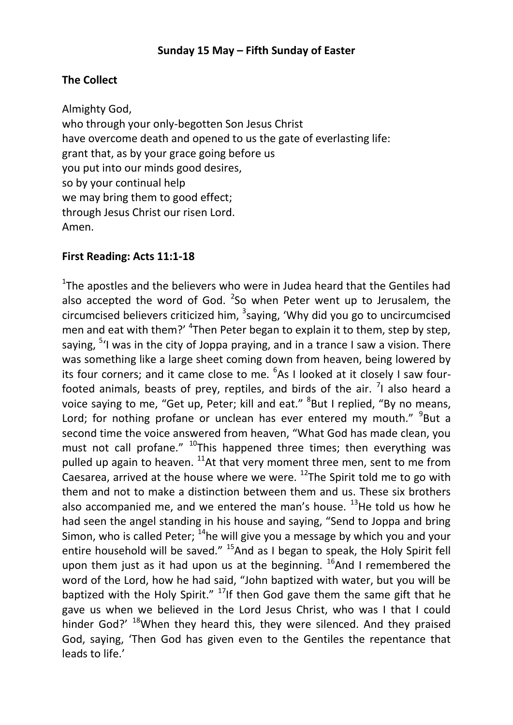# **The Collect**

Almighty God, who through your only-begotten Son Jesus Christ have overcome death and opened to us the gate of everlasting life: grant that, as by your grace going before us you put into our minds good desires, so by your continual help we may bring them to good effect; through Jesus Christ our risen Lord. Amen.

## **First Reading: Acts 11:1-18**

<sup>1</sup>The apostles and the believers who were in Judea heard that the Gentiles had also accepted the word of God. <sup>2</sup>So when Peter went up to Jerusalem, the circumcised believers criticized him,  $3$ saying, 'Why did you go to uncircumcised men and eat with them?' <sup>4</sup>Then Peter began to explain it to them, step by step, saying, <sup>5</sup>'I was in the city of Joppa praying, and in a trance I saw a vision. There was something like a large sheet coming down from heaven, being lowered by its four corners; and it came close to me. <sup>6</sup>As I looked at it closely I saw fourfooted animals, beasts of prey, reptiles, and birds of the air.  $\frac{7}{1}$  also heard a voice saying to me, "Get up, Peter; kill and eat." <sup>8</sup>But I replied, "By no means, Lord; for nothing profane or unclean has ever entered my mouth." <sup>9</sup>But a second time the voice answered from heaven, "What God has made clean, you must not call profane."  $^{10}$ This happened three times; then everything was pulled up again to heaven.  $^{11}$ At that very moment three men, sent to me from Caesarea, arrived at the house where we were.  $^{12}$ The Spirit told me to go with them and not to make a distinction between them and us. These six brothers also accompanied me, and we entered the man's house.  $^{13}$ He told us how he had seen the angel standing in his house and saying, "Send to Joppa and bring Simon, who is called Peter;  $14$ he will give you a message by which you and your entire household will be saved." <sup>15</sup>And as I began to speak, the Holy Spirit fell upon them just as it had upon us at the beginning.  $^{16}$ And I remembered the word of the Lord, how he had said, "John baptized with water, but you will be baptized with the Holy Spirit."  $17$ If then God gave them the same gift that he gave us when we believed in the Lord Jesus Christ, who was I that I could hinder God?' <sup>18</sup>When they heard this, they were silenced. And they praised God, saying, 'Then God has given even to the Gentiles the repentance that leads to life.'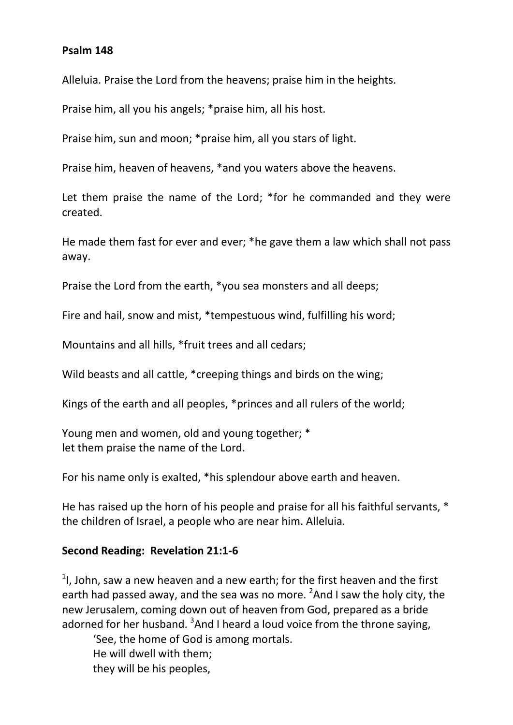### **Psalm 148**

Alleluia. Praise the Lord from the heavens; praise him in the heights.

Praise him, all you his angels; \*praise him, all his host.

Praise him, sun and moon; \*praise him, all you stars of light.

Praise him, heaven of heavens, \*and you waters above the heavens.

Let them praise the name of the Lord; \*for he commanded and they were created.

He made them fast for ever and ever; \*he gave them a law which shall not pass away.

Praise the Lord from the earth, \*you sea monsters and all deeps;

Fire and hail, snow and mist, \*tempestuous wind, fulfilling his word;

Mountains and all hills, \*fruit trees and all cedars;

Wild beasts and all cattle, \*creeping things and birds on the wing;

Kings of the earth and all peoples, \*princes and all rulers of the world;

Young men and women, old and young together; \* let them praise the name of the Lord.

For his name only is exalted, \*his splendour above earth and heaven.

He has raised up the horn of his people and praise for all his faithful servants, \* the children of Israel, a people who are near him. Alleluia.

### **Second Reading: Revelation 21:1-6**

 $1$ , John, saw a new heaven and a new earth; for the first heaven and the first earth had passed away, and the sea was no more. <sup>2</sup>And I saw the holy city, the new Jerusalem, coming down out of heaven from God, prepared as a bride adorned for her husband. <sup>3</sup>And I heard a loud voice from the throne saying,

'See, the home of God is among mortals. He will dwell with them; they will be his peoples,